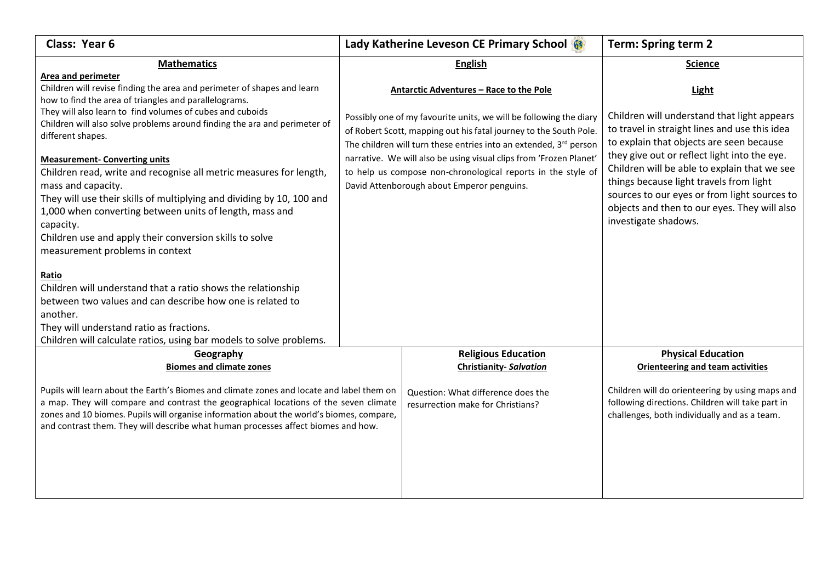| Class: Year 6                                                                                                                                                                                                                                                                                                                                                                                                                                                                                                                                                                                                                                                                                                                                                                                                                                              | Lady Katherine Leveson CE Primary School                                                                                                                                                                                                                                                                                                                                                                                                         | <b>Term: Spring term 2</b>                                                                                                                                                                                                                                                                                                                                                                                                  |
|------------------------------------------------------------------------------------------------------------------------------------------------------------------------------------------------------------------------------------------------------------------------------------------------------------------------------------------------------------------------------------------------------------------------------------------------------------------------------------------------------------------------------------------------------------------------------------------------------------------------------------------------------------------------------------------------------------------------------------------------------------------------------------------------------------------------------------------------------------|--------------------------------------------------------------------------------------------------------------------------------------------------------------------------------------------------------------------------------------------------------------------------------------------------------------------------------------------------------------------------------------------------------------------------------------------------|-----------------------------------------------------------------------------------------------------------------------------------------------------------------------------------------------------------------------------------------------------------------------------------------------------------------------------------------------------------------------------------------------------------------------------|
| <b>Mathematics</b>                                                                                                                                                                                                                                                                                                                                                                                                                                                                                                                                                                                                                                                                                                                                                                                                                                         | <b>English</b>                                                                                                                                                                                                                                                                                                                                                                                                                                   | <b>Science</b>                                                                                                                                                                                                                                                                                                                                                                                                              |
| Area and perimeter<br>Children will revise finding the area and perimeter of shapes and learn<br>how to find the area of triangles and parallelograms.<br>They will also learn to find volumes of cubes and cuboids<br>Children will also solve problems around finding the ara and perimeter of<br>different shapes.<br><b>Measurement- Converting units</b><br>Children read, write and recognise all metric measures for length,<br>mass and capacity.<br>They will use their skills of multiplying and dividing by 10, 100 and<br>1,000 when converting between units of length, mass and<br>capacity.<br>Children use and apply their conversion skills to solve<br>measurement problems in context<br>Ratio<br>Children will understand that a ratio shows the relationship<br>between two values and can describe how one is related to<br>another. | Antarctic Adventures - Race to the Pole<br>Possibly one of my favourite units, we will be following the diary<br>of Robert Scott, mapping out his fatal journey to the South Pole.<br>The children will turn these entries into an extended, $3^{rd}$ person<br>narrative. We will also be using visual clips from 'Frozen Planet'<br>to help us compose non-chronological reports in the style of<br>David Attenborough about Emperor penguins. | <b>Light</b><br>Children will understand that light appears<br>to travel in straight lines and use this idea<br>to explain that objects are seen because<br>they give out or reflect light into the eye.<br>Children will be able to explain that we see<br>things because light travels from light<br>sources to our eyes or from light sources to<br>objects and then to our eyes. They will also<br>investigate shadows. |
| They will understand ratio as fractions.                                                                                                                                                                                                                                                                                                                                                                                                                                                                                                                                                                                                                                                                                                                                                                                                                   |                                                                                                                                                                                                                                                                                                                                                                                                                                                  |                                                                                                                                                                                                                                                                                                                                                                                                                             |
| Children will calculate ratios, using bar models to solve problems.<br>Geography<br><b>Biomes and climate zones</b><br>Pupils will learn about the Earth's Biomes and climate zones and locate and label them on<br>a map. They will compare and contrast the geographical locations of the seven climate<br>zones and 10 biomes. Pupils will organise information about the world's biomes, compare,<br>and contrast them. They will describe what human processes affect biomes and how.                                                                                                                                                                                                                                                                                                                                                                 | <b>Religious Education</b><br><b>Christianity-Salvation</b><br>Question: What difference does the<br>resurrection make for Christians?                                                                                                                                                                                                                                                                                                           | <b>Physical Education</b><br><b>Orienteering and team activities</b><br>Children will do orienteering by using maps and<br>following directions. Children will take part in<br>challenges, both individually and as a team.                                                                                                                                                                                                 |